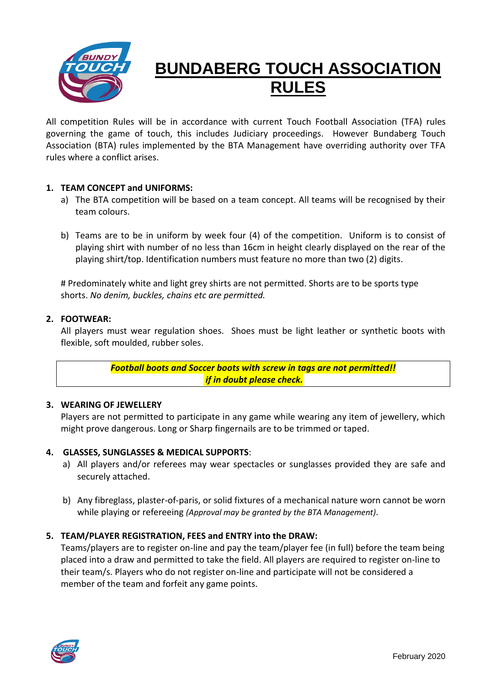

# **BUNDABERG TOUCH ASSOCIATION RULES**

All competition Rules will be in accordance with current Touch Football Association (TFA) rules governing the game of touch, this includes Judiciary proceedings. However Bundaberg Touch Association (BTA) rules implemented by the BTA Management have overriding authority over TFA rules where a conflict arises.

# **1. TEAM CONCEPT and UNIFORMS:**

- a) The BTA competition will be based on a team concept. All teams will be recognised by their team colours.
- b) Teams are to be in uniform by week four (4) of the competition. Uniform is to consist of playing shirt with number of no less than 16cm in height clearly displayed on the rear of the playing shirt/top. Identification numbers must feature no more than two (2) digits.

# Predominately white and light grey shirts are not permitted. Shorts are to be sports type shorts. *No denim, buckles, chains etc are permitted.*

#### **2. FOOTWEAR:**

All players must wear regulation shoes. Shoes must be light leather or synthetic boots with flexible, soft moulded, rubber soles.

> *Football boots and Soccer boots with screw in tags are not permitted!! if in doubt please check.*

#### **3. WEARING OF JEWELLERY**

Players are not permitted to participate in any game while wearing any item of jewellery, which might prove dangerous. Long or Sharp fingernails are to be trimmed or taped.

#### **4. GLASSES, SUNGLASSES & MEDICAL SUPPORTS**:

- a) All players and/or referees may wear spectacles or sunglasses provided they are safe and securely attached.
- b) Any fibreglass, plaster-of-paris, or solid fixtures of a mechanical nature worn cannot be worn while playing or refereeing *(Approval may be granted by the BTA Management)*.

#### **5. TEAM/PLAYER REGISTRATION, FEES and ENTRY into the DRAW:**

Teams/players are to register on-line and pay the team/player fee (in full) before the team being placed into a draw and permitted to take the field. All players are required to register on-line to their team/s. Players who do not register on-line and participate will not be considered a member of the team and forfeit any game points.

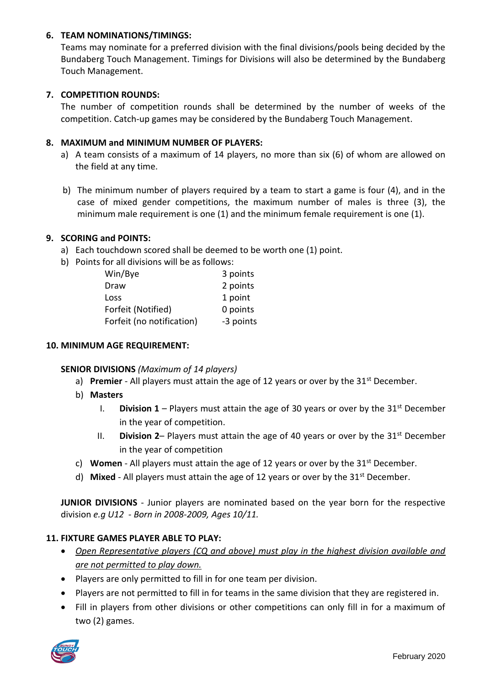#### **6. TEAM NOMINATIONS/TIMINGS:**

Teams may nominate for a preferred division with the final divisions/pools being decided by the Bundaberg Touch Management. Timings for Divisions will also be determined by the Bundaberg Touch Management.

## **7. COMPETITION ROUNDS:**

The number of competition rounds shall be determined by the number of weeks of the competition. Catch-up games may be considered by the Bundaberg Touch Management.

#### **8. MAXIMUM and MINIMUM NUMBER OF PLAYERS:**

- a) A team consists of a maximum of 14 players, no more than six (6) of whom are allowed on the field at any time.
- b) The minimum number of players required by a team to start a game is four (4), and in the case of mixed gender competitions, the maximum number of males is three (3), the minimum male requirement is one (1) and the minimum female requirement is one (1).

#### **9. SCORING and POINTS:**

- a) Each touchdown scored shall be deemed to be worth one (1) point.
- b) Points for all divisions will be as follows:

| Win/Bye                   | 3 points  |
|---------------------------|-----------|
| Draw                      | 2 points  |
| Loss                      | 1 point   |
| Forfeit (Notified)        | 0 points  |
| Forfeit (no notification) | -3 points |

#### **10. MINIMUM AGE REQUIREMENT:**

#### **SENIOR DIVISIONS** *(Maximum of 14 players)*

- a) **Premier** All players must attain the age of 12 years or over by the 31<sup>st</sup> December.
- b) **Masters**
	- I. **Division 1** Players must attain the age of 30 years or over by the  $31<sup>st</sup>$  December in the year of competition.
	- II. **Division 2–** Players must attain the age of 40 years or over by the  $31<sup>st</sup>$  December in the year of competition
- c) **Women** All players must attain the age of 12 years or over by the 31st December.
- d) **Mixed**  All players must attain the age of 12 years or over by the 31st December.

**JUNIOR DIVISIONS** - Junior players are nominated based on the year born for the respective division *e.g U12 - Born in 2008-2009, Ages 10/11.*

#### **11. FIXTURE GAMES PLAYER ABLE TO PLAY:**

- *Open Representative players (CQ and above) must play in the highest division available and are not permitted to play down.*
- Players are only permitted to fill in for one team per division.
- Players are not permitted to fill in for teams in the same division that they are registered in.
- Fill in players from other divisions or other competitions can only fill in for a maximum of two (2) games.

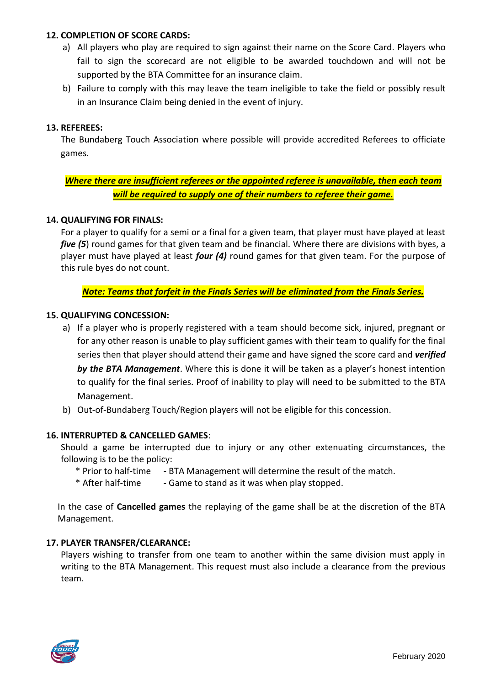#### **12. COMPLETION OF SCORE CARDS:**

- a) All players who play are required to sign against their name on the Score Card. Players who fail to sign the scorecard are not eligible to be awarded touchdown and will not be supported by the BTA Committee for an insurance claim.
- b) Failure to comply with this may leave the team ineligible to take the field or possibly result in an Insurance Claim being denied in the event of injury.

## **13. REFEREES:**

The Bundaberg Touch Association where possible will provide accredited Referees to officiate games.

# *Where there are insufficient referees or the appointed referee is unavailable, then each team will be required to supply one of their numbers to referee their game.*

#### **14. QUALIFYING FOR FINALS:**

For a player to qualify for a semi or a final for a given team, that player must have played at least *five (5)* round games for that given team and be financial. Where there are divisions with byes, a player must have played at least *four (4)* round games for that given team. For the purpose of this rule byes do not count.

#### *Note: Teams that forfeit in the Finals Series will be eliminated from the Finals Series.*

#### **15. QUALIFYING CONCESSION:**

- a) If a player who is properly registered with a team should become sick, injured, pregnant or for any other reason is unable to play sufficient games with their team to qualify for the final series then that player should attend their game and have signed the score card and *verified by the BTA Management*. Where this is done it will be taken as a player's honest intention to qualify for the final series. Proof of inability to play will need to be submitted to the BTA Management.
- b) Out-of-Bundaberg Touch/Region players will not be eligible for this concession.

#### **16. INTERRUPTED & CANCELLED GAMES**:

Should a game be interrupted due to injury or any other extenuating circumstances, the following is to be the policy:

- \* Prior to half-time BTA Management will determine the result of the match.
- \* After half-time Game to stand as it was when play stopped.

In the case of **Cancelled games** the replaying of the game shall be at the discretion of the BTA Management.

#### **17. PLAYER TRANSFER/CLEARANCE:**

Players wishing to transfer from one team to another within the same division must apply in writing to the BTA Management. This request must also include a clearance from the previous team.